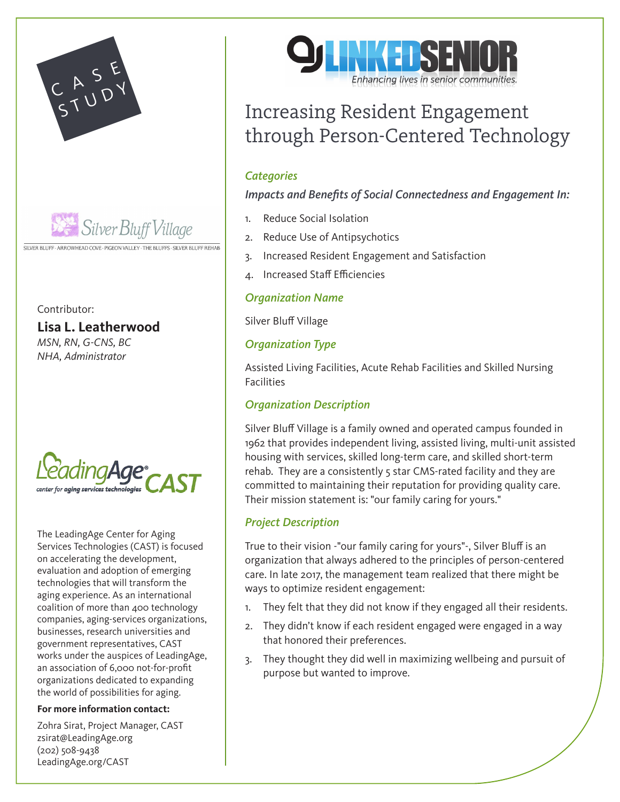



SILVER BLUFF · ARROWHEAD COVE · PIGEON VALLEY · THE BLUFFS · SILVER BLUFF REHAB

Contributor:

**Lisa L. Leatherwood**

*MSN, RN, G-CNS, BC NHA, Administrator*



The LeadingAge Center for Aging Services Technologies (CAST) is focused on accelerating the development, evaluation and adoption of emerging technologies that will transform the aging experience. As an international coalition of more than 400 technology companies, aging-services organizations, businesses, research universities and government representatives, CAST works under the auspices of LeadingAge, an association of 6,000 not-for-profit organizations dedicated to expanding the world of possibilities for aging.

#### **For more information contact:**

Zohra Sirat, Project Manager, CAST zsirat@LeadingAge.org (202) 508-9438 LeadingAge.org/CAST



# Increasing Resident Engagement through Person-Centered Technology

## *Categories*

*Impacts and Benefits of Social Connectedness and Engagement In:* 

- 1. Reduce Social Isolation
- 2. Reduce Use of Antipsychotics
- 3. Increased Resident Engagement and Satisfaction
- 4. Increased Staff Efficiencies

## *Organization Name*

Silver Bluff Village

# *Organization Type*

Assisted Living Facilities, Acute Rehab Facilities and Skilled Nursing **Facilities** 

### *Organization Description*

Silver Bluff Village is a family owned and operated campus founded in 1962 that provides independent living, assisted living, multi-unit assisted housing with services, skilled long-term care, and skilled short-term rehab. They are a consistently 5 star CMS-rated facility and they are committed to maintaining their reputation for providing quality care. Their mission statement is: "our family caring for yours."

## *Project Description*

True to their vision -"our family caring for yours"-, Silver Bluff is an organization that always adhered to the principles of person-centered care. In late 2017, the management team realized that there might be ways to optimize resident engagement:

- 1. They felt that they did not know if they engaged all their residents.
- 2. They didn't know if each resident engaged were engaged in a way that honored their preferences.
- 3. They thought they did well in maximizing wellbeing and pursuit of purpose but wanted to improve.